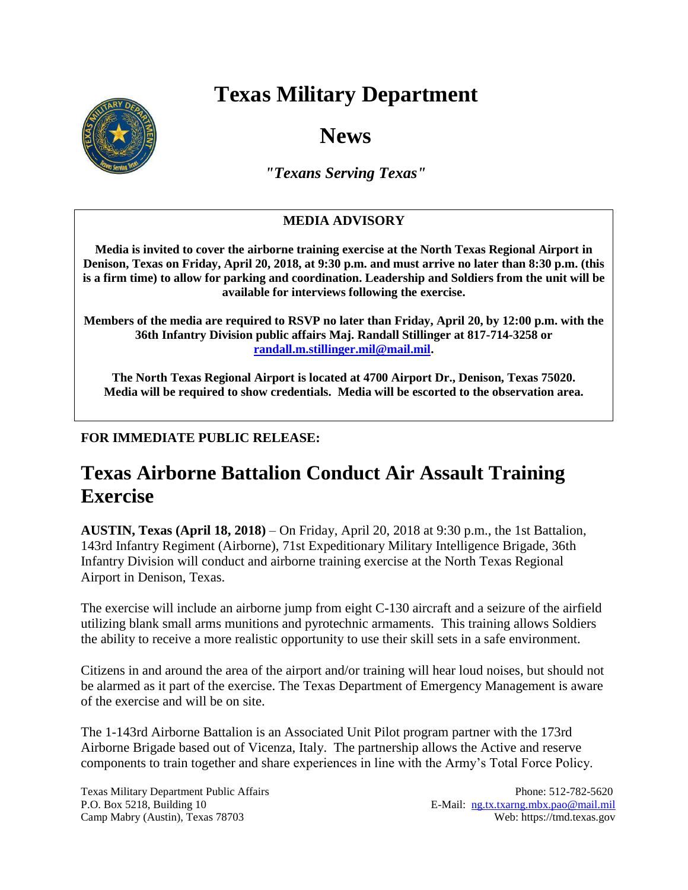## **Texas Military Department**



**News**

*"Texans Serving Texas"*

## **MEDIA ADVISORY**

**Media is invited to cover the airborne training exercise at the North Texas Regional Airport in Denison, Texas on Friday, April 20, 2018, at 9:30 p.m. and must arrive no later than 8:30 p.m. (this is a firm time) to allow for parking and coordination. Leadership and Soldiers from the unit will be available for interviews following the exercise.**

**Members of the media are required to RSVP no later than Friday, April 20, by 12:00 p.m. with the 36th Infantry Division public affairs Maj. Randall Stillinger at 817-714-3258 or [randall.m.stillinger.mil@mail.mil.](mailto:randall.m.stillinger.mil@mail.mil)** 

**The North Texas Regional Airport is located at 4700 Airport Dr., Denison, Texas 75020. Media will be required to show credentials. Media will be escorted to the observation area.**

## **FOR IMMEDIATE PUBLIC RELEASE:**

## **Texas Airborne Battalion Conduct Air Assault Training Exercise**

**AUSTIN, Texas (April 18, 2018)** – On Friday, April 20, 2018 at 9:30 p.m., the 1st Battalion, 143rd Infantry Regiment (Airborne), 71st Expeditionary Military Intelligence Brigade, 36th Infantry Division will conduct and airborne training exercise at the North Texas Regional Airport in Denison, Texas.

The exercise will include an airborne jump from eight C-130 aircraft and a seizure of the airfield utilizing blank small arms munitions and pyrotechnic armaments. This training allows Soldiers the ability to receive a more realistic opportunity to use their skill sets in a safe environment.

Citizens in and around the area of the airport and/or training will hear loud noises, but should not be alarmed as it part of the exercise. The Texas Department of Emergency Management is aware of the exercise and will be on site.

The 1-143rd Airborne Battalion is an Associated Unit Pilot program partner with the 173rd Airborne Brigade based out of Vicenza, Italy. The partnership allows the Active and reserve components to train together and share experiences in line with the Army's Total Force Policy.

Texas Military Department Public Affairs Phone: 512-782-5620 P.O. Box 5218, Building 10 E-Mail: [ng.tx.txarng.mbx.pao@mail.mil](mailto:ng.tx.txarng.mbx.pao@mail.mil) Camp Mabry (Austin), Texas 78703 Web: https://tmd.texas.gov